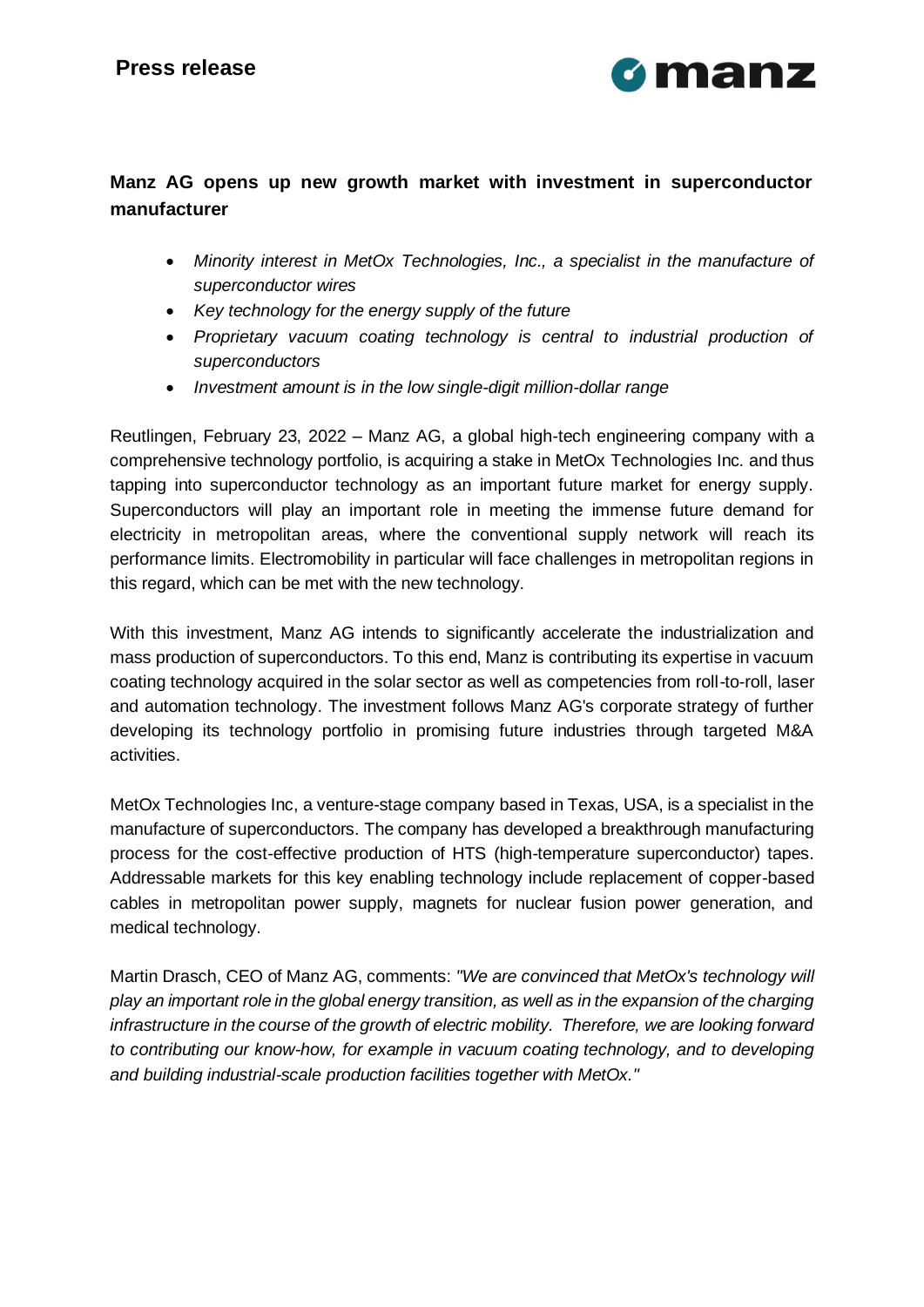

### **Manz AG opens up new growth market with investment in superconductor manufacturer**

- *Minority interest in MetOx Technologies, Inc., a specialist in the manufacture of superconductor wires*
- *Key technology for the energy supply of the future*
- *Proprietary vacuum coating technology is central to industrial production of superconductors*
- *Investment amount is in the low single-digit million-dollar range*

Reutlingen, February 23, 2022 – Manz AG, a global high-tech engineering company with a comprehensive technology portfolio, is acquiring a stake in MetOx Technologies Inc. and thus tapping into superconductor technology as an important future market for energy supply. Superconductors will play an important role in meeting the immense future demand for electricity in metropolitan areas, where the conventional supply network will reach its performance limits. Electromobility in particular will face challenges in metropolitan regions in this regard, which can be met with the new technology.

With this investment, Manz AG intends to significantly accelerate the industrialization and mass production of superconductors. To this end, Manz is contributing its expertise in vacuum coating technology acquired in the solar sector as well as competencies from roll-to-roll, laser and automation technology. The investment follows Manz AG's corporate strategy of further developing its technology portfolio in promising future industries through targeted M&A activities.

MetOx Technologies Inc, a venture-stage company based in Texas, USA, is a specialist in the manufacture of superconductors. The company has developed a breakthrough manufacturing process for the cost-effective production of HTS (high-temperature superconductor) tapes. Addressable markets for this key enabling technology include replacement of copper-based cables in metropolitan power supply, magnets for nuclear fusion power generation, and medical technology.

Martin Drasch, CEO of Manz AG, comments: *"We are convinced that MetOx's technology will play an important role in the global energy transition, as well as in the expansion of the charging infrastructure in the course of the growth of electric mobility. Therefore, we are looking forward to contributing our know-how, for example in vacuum coating technology, and to developing and building industrial-scale production facilities together with MetOx."*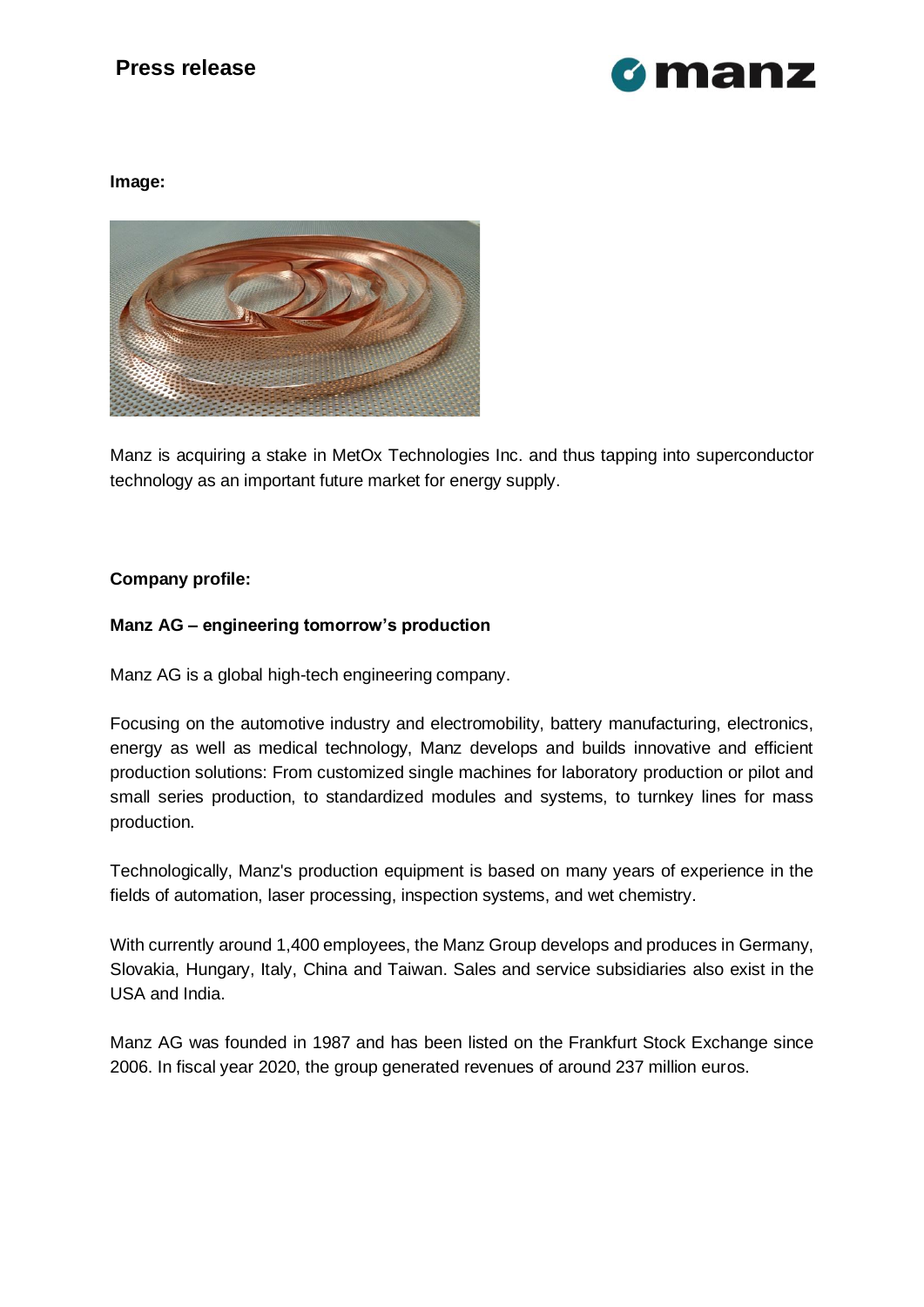# **Press release**



#### **Image:**



Manz is acquiring a stake in MetOx Technologies Inc. and thus tapping into superconductor technology as an important future market for energy supply.

#### **Company profile:**

#### **Manz AG – engineering tomorrow's production**

Manz AG is a global high-tech engineering company.

Focusing on the automotive industry and electromobility, battery manufacturing, electronics, energy as well as medical technology, Manz develops and builds innovative and efficient production solutions: From customized single machines for laboratory production or pilot and small series production, to standardized modules and systems, to turnkey lines for mass production.

Technologically, Manz's production equipment is based on many years of experience in the fields of automation, laser processing, inspection systems, and wet chemistry.

With currently around 1,400 employees, the Manz Group develops and produces in Germany, Slovakia, Hungary, Italy, China and Taiwan. Sales and service subsidiaries also exist in the USA and India.

Manz AG was founded in 1987 and has been listed on the Frankfurt Stock Exchange since 2006. In fiscal year 2020, the group generated revenues of around 237 million euros.